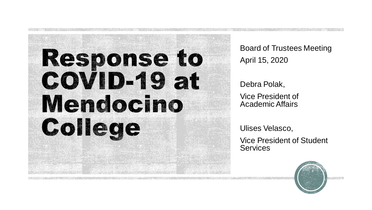

Board of Trustees Meeting April 15, 2020

Debra Polak, Vice President of Academic Affairs

Ulises Velasco,

Vice President of Student **Services** 

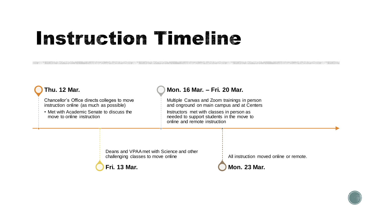#### **Instruction Timeline**

#### **Thu. 12 Mar.**

Chancellor's Office directs colleges to move instruction online (as much as possible)

• Met with Academic Senate to discuss the move to online instruction

#### **Mon. 16 Mar. – Fri. 20 Mar.**

Multiple Canvas and Zoom trainings in person and onground on main campus and at Centers

Instructors met with classes in person as needed to support students in the move to online and remote instruction

Deans and VPAA met with Science and other challenging classes to move online



All instruction moved online or remote.



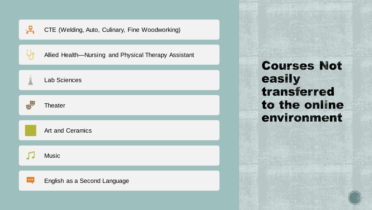|                            | CTE (Welding, Auto, Culinary, Fine Woodworking)      |
|----------------------------|------------------------------------------------------|
|                            | Allied Health-Nursing and Physical Therapy Assistant |
| $\dot{\tilde{\mathbf{H}}}$ | <b>Lab Sciences</b>                                  |
|                            | Theater                                              |
|                            | <b>Art and Ceramics</b>                              |
|                            | <b>Music</b>                                         |
| $\bullet\bullet\bullet$    | English as a Second Language                         |

**Courses Not** easily transferred to the online environment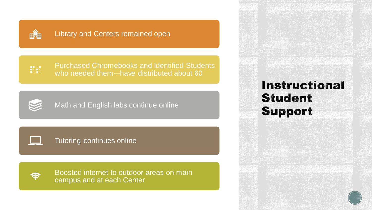

#### Library and Centers remained open

 $\frac{1}{2}$ 

Purchased Chromebooks and Identified Students who needed them--have distributed about 60



Math and English labs continue online

Tutoring continues online



Boosted internet to outdoor areas on main campus and at each Center

**Instructional Student Support** 

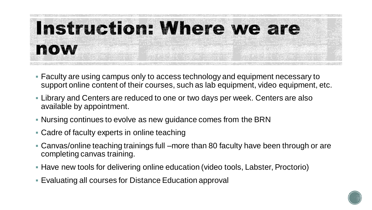

- Faculty are using campus only to access technology and equipment necessary to support online content of their courses, such as lab equipment, video equipment, etc.
- **EXT** Library and Centers are reduced to one or two days per week. Centers are also available by appointment.
- Nursing continues to evolve as new guidance comes from the BRN
- **EXA** Cadre of faculty experts in online teaching
- Canvas/online teaching trainings full –more than 80 faculty have been through or are completing canvas training.
- Have new tools for delivering online education (video tools, Labster, Proctorio)
- **Evaluating all courses for Distance Education approval**

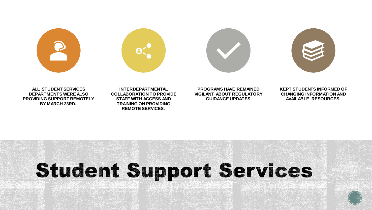







**ALL STUDENT SERVICES DEPARTMENTS WERE ALSO PROVIDING SUPPORT REMOTELY BY MARCH 23RD.**

**INTERDEPARTMENTAL COLLABORATION TO PROVIDE STAFF WITH ACCESS AND TRAINING ON PROVIDING REMOTE SERVICES.**

**PROGRAMS HAVE REMAINED VIGILANT ABOUT REGULATORY GUIDANCE UPDATES.**

**KEPT STUDENTS INFORMED OF CHANGING INFORMATION AND AVAILABLE RESOURCES.**

## **Student Support Services**

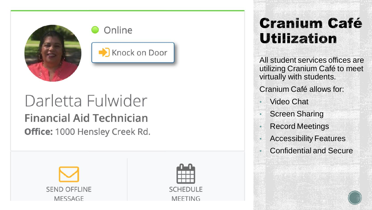





#### Darletta Fulwider **Financial Aid Technician Office: 1000 Hensley Creek Rd.**





#### **Cranium Café Utilization**

All student services offices are utilizing Cranium Café to meet virtually with students.

Cranium Café allows for:

- Video Chat
- Screen Sharing
- Record Meetings
- Accessibility Features
- Confidential and Secure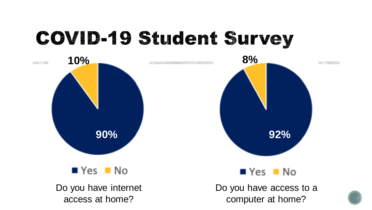## **COVID-19 Student Survey**

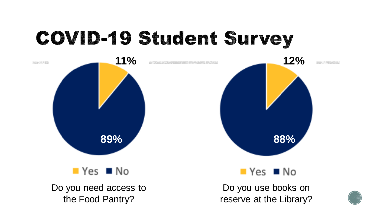## **COVID-19 Student Survey**

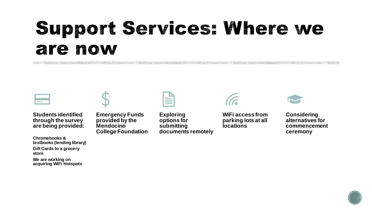## Support Services: Where we are now



**Students identified through the survey are being provided:**

**Chromebooks & textbooks (lending library) Gift Cards to a grocery store We are working on acquiring WiFi Hotspots**



**Emergency Funds provided by the Mendocino College Foundation**



**Exploring options for submitting documents remotely**



**WiFi access from parking lots at all locations**



**Considering alternatives for commencement ceremony**

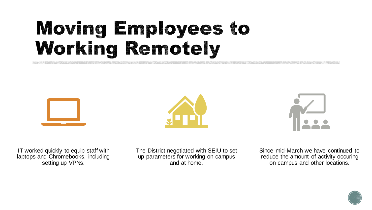### Moving Employees to Working Remotely







IT worked quickly to equip staff with laptops and Chromebooks, including setting up VPNs.

The District negotiated with SEIU to set up parameters for working on campus and at home.

Since mid-March we have continued to reduce the amount of activity occuring on campus and other locations.

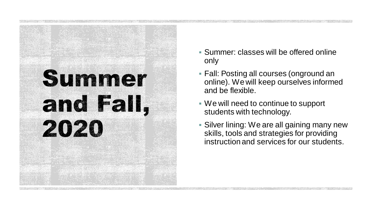# Summer and Fall, 2020

- Summer: classes will be offered online only
- **Fall: Posting all courses (onground an** online). We will keep ourselves informed and be flexible.
- We will need to continue to support students with technology.
- **Silver lining: We are all gaining many new** skills, tools and strategies for providing instruction and services for our students.